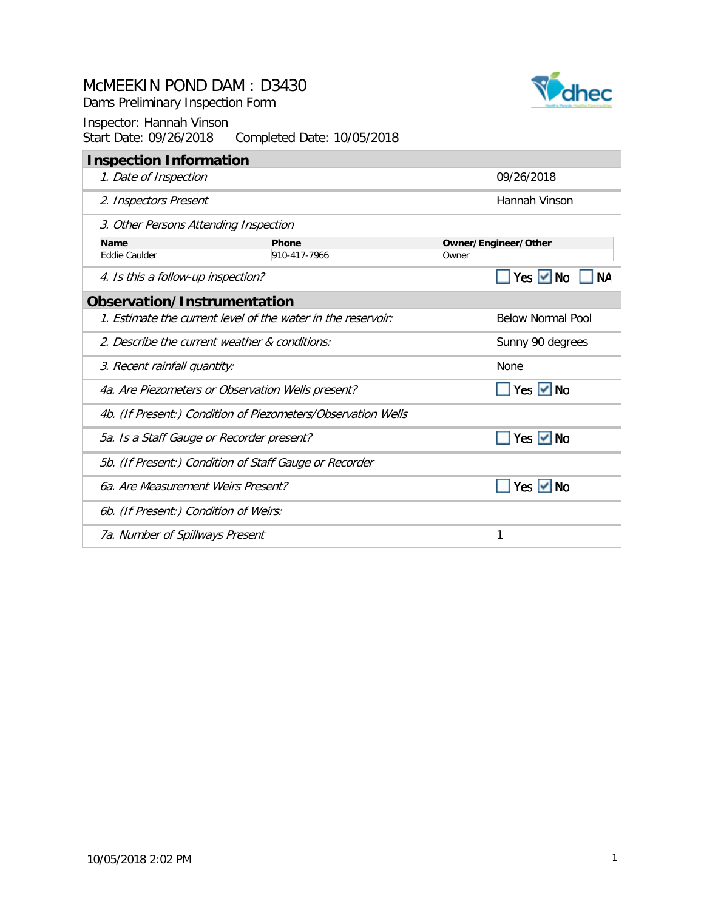Dams Preliminary Inspection Form

|                                                            | <b>Inspection Information</b>                                |              |       |                          |  |
|------------------------------------------------------------|--------------------------------------------------------------|--------------|-------|--------------------------|--|
|                                                            | 1. Date of Inspection                                        |              |       | 09/26/2018               |  |
|                                                            | 2. Inspectors Present                                        |              |       | Hannah Vinson            |  |
|                                                            | 3. Other Persons Attending Inspection                        |              |       |                          |  |
|                                                            | <b>Name</b>                                                  | Phone        |       | Owner/Engineer/Other     |  |
|                                                            | <b>Eddie Caulder</b>                                         | 910-417-7966 | Owner |                          |  |
|                                                            | 4. Is this a follow-up inspection?                           |              |       | Yes $\vee$ No            |  |
|                                                            | <b>Observation/Instrumentation</b>                           |              |       |                          |  |
|                                                            | 1. Estimate the current level of the water in the reservoir: |              |       | <b>Below Normal Pool</b> |  |
| 2. Describe the current weather & conditions:              |                                                              |              |       | Sunny 90 degrees         |  |
|                                                            | 3. Recent rainfall quantity:                                 |              |       | None                     |  |
|                                                            | 4a. Are Piezometers or Observation Wells present?            |              |       | Yes $\vee$ No            |  |
|                                                            | 4b. (If Present:) Condition of Piezometers/Observation Wells |              |       |                          |  |
| Yes $\vee$ No<br>5a. Is a Staff Gauge or Recorder present? |                                                              |              |       |                          |  |
| 5b. (If Present:) Condition of Staff Gauge or Recorder     |                                                              |              |       |                          |  |
|                                                            | 6a. Are Measurement Weirs Present?                           |              |       | Yes I <b>∨</b> No        |  |
|                                                            | 6b. (If Present:) Condition of Weirs:                        |              |       |                          |  |
|                                                            | 7a. Number of Spillways Present                              |              |       |                          |  |

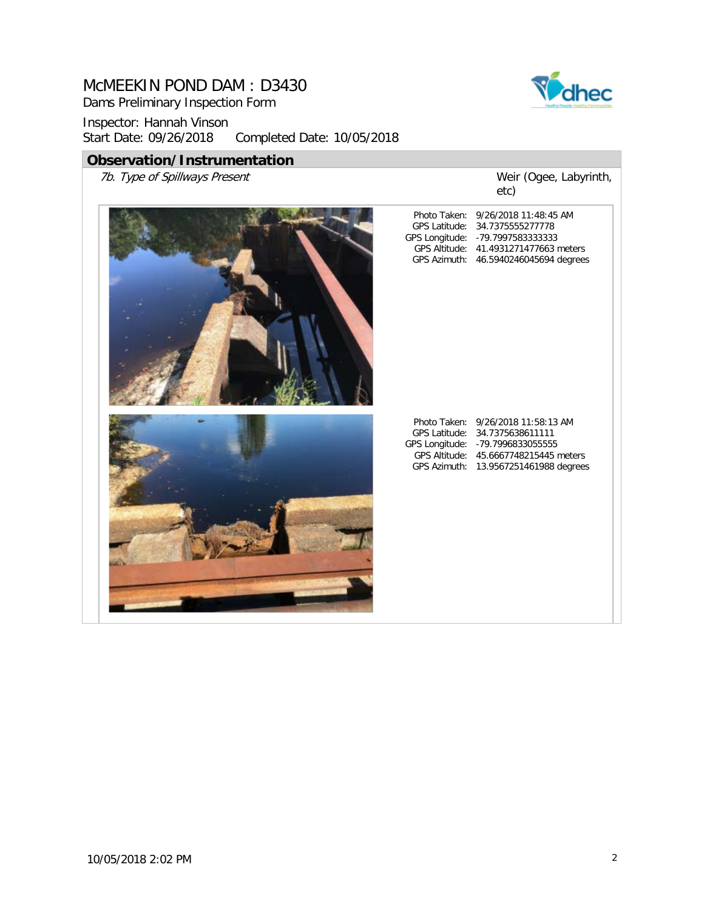Dams Preliminary Inspection Form

Inspector: Hannah Vinson<br>Start Date: 09/26/2018 Completed Date: 10/05/2018

### **Observation/Instrumentation**

7b. Type of Spillways Present



Weir (Ogee, Labyrinth, etc)

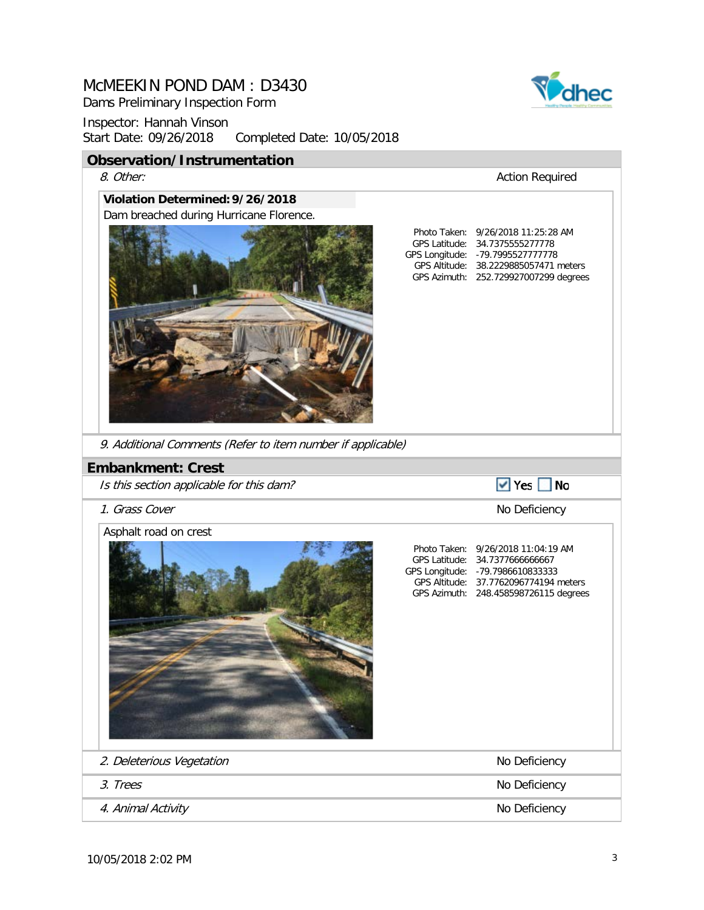Dams Preliminary Inspection Form



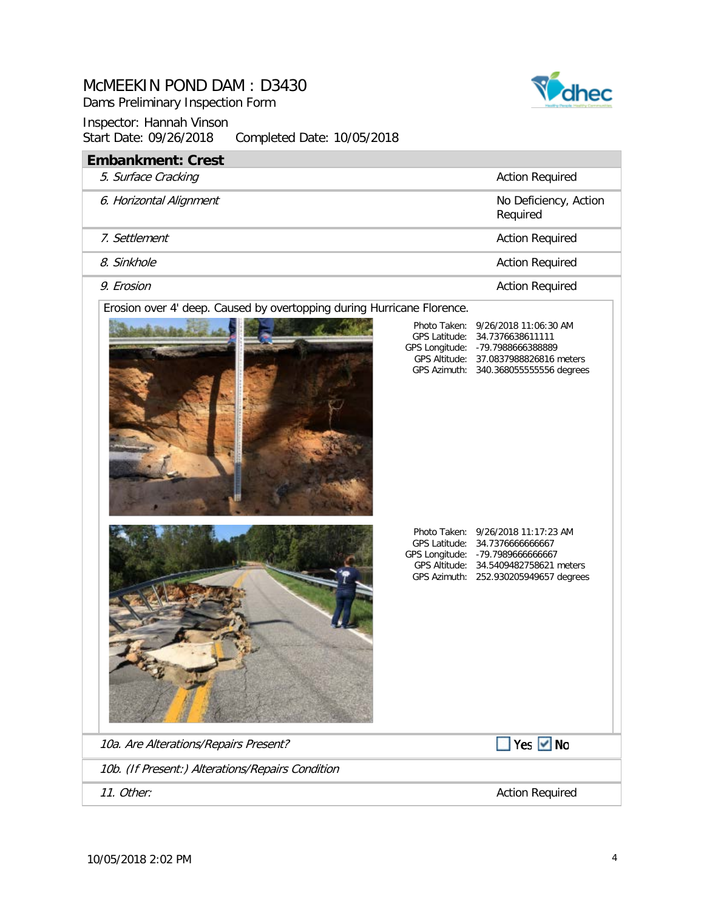Dams Preliminary Inspection Form



| <b>Embankment: Crest</b>                                               |                                                                                                                                                                                                          |  |  |
|------------------------------------------------------------------------|----------------------------------------------------------------------------------------------------------------------------------------------------------------------------------------------------------|--|--|
| 5. Surface Cracking                                                    | <b>Action Required</b>                                                                                                                                                                                   |  |  |
| 6. Horizontal Alignment                                                | No Deficiency, Action<br>Required                                                                                                                                                                        |  |  |
| 7. Settlement                                                          | <b>Action Required</b>                                                                                                                                                                                   |  |  |
| 8. Sinkhole                                                            | <b>Action Required</b>                                                                                                                                                                                   |  |  |
| 9. Erosion                                                             | <b>Action Required</b>                                                                                                                                                                                   |  |  |
| Erosion over 4' deep. Caused by overtopping during Hurricane Florence. | Photo Taken:<br>9/26/2018 11:06:30 AM<br><b>GPS Latitude:</b><br>34.7376638611111<br>GPS Longitude: - 79.7988666388889<br>GPS Altitude: 37.0837988826816 meters<br>GPS Azimuth: 340.368055555556 degrees |  |  |
|                                                                        | Photo Taken: 9/26/2018 11:17:23 AM<br>GPS Latitude:<br>34.7376666666667<br>GPS Longitude: - 79.7989666666667<br>GPS Altitude: 34.5409482758621 meters<br>GPS Azimuth: 252.930205949657 degrees           |  |  |
| 10a. Are Alterations/Repairs Present?                                  | Yes $\vee$ No                                                                                                                                                                                            |  |  |
| 10b. (If Present:) Alterations/Repairs Condition                       |                                                                                                                                                                                                          |  |  |
| 11. Other:                                                             | <b>Action Required</b>                                                                                                                                                                                   |  |  |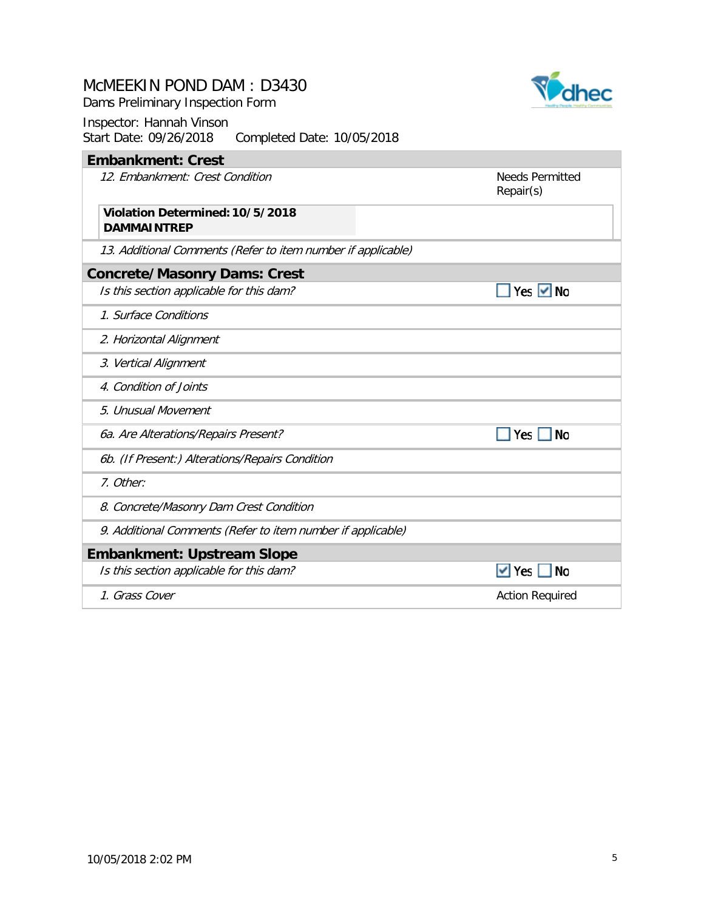Dams Preliminary Inspection Form

#### Inspector: Hannah Vinson Start Date: 09/26/2018 Completed Date: 10/05/2018

# **Embankment: Crest**

12. Embankment: Crest Condition

Needs Permitted Repair(s)

 $\blacksquare$  Yes  $\blacksquare$  No

 $\blacksquare$  Yes  $\blacksquare$  No

 $\blacktriangleright$  Yes  $\blacksquare$  No

#### **DAMMAINTREP Violation Determined:10/5/2018**

13. Additional Comments (Refer to item number if applicable)

#### **Concrete/Masonry Dams: Crest**

Is this section applicable for this dam?

- 1. Surface Conditions
- 2. Horizontal Alignment
- 3. Vertical Alignment
- 4. Condition of Joints
- 5. Unusual Movement
- 6a. Are Alterations/Repairs Present?
- 6b. (If Present:) Alterations/Repairs Condition
- 7. Other:
- 8. Concrete/Masonry Dam Crest Condition
- 9. Additional Comments (Refer to item number if applicable)

### **Embankment: Upstream Slope**

Is this section applicable for this dam?

1. Grass Cover **Action Required** 

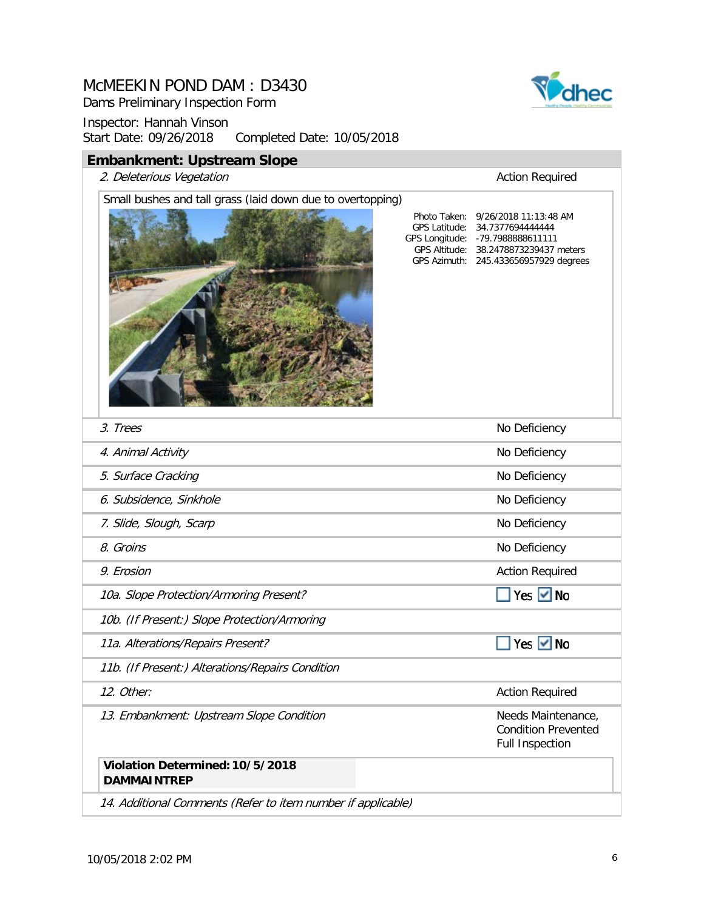Dams Preliminary Inspection Form

Inspector: Hannah Vinson<br>Start Date: 09/26/2018 Completed Date: 10/05/2018

### **Embankment: Upstream Slope**

2. Deleterious Vegetation 2. Deleterious Vegetation

# Small bushes and tall grass (laid down due to overtopping)



GPS Latitude: 34.7377694444444 GPS Longitude: GPS Altitude: Photo Taken: 9/26/2018 11:13:48 AM -79.7988888611111 38.2478873239437 meters

245.433656957929 degrees

GPS Azimuth:

| 3. Trees                                                     | No Deficiency                                                              |
|--------------------------------------------------------------|----------------------------------------------------------------------------|
| 4. Animal Activity                                           | No Deficiency                                                              |
| 5. Surface Cracking                                          | No Deficiency                                                              |
| 6. Subsidence, Sinkhole                                      | No Deficiency                                                              |
| 7. Slide, Slough, Scarp                                      | No Deficiency                                                              |
| 8. Groins                                                    | No Deficiency                                                              |
| 9. Erosion                                                   | <b>Action Required</b>                                                     |
| 10a. Slope Protection/Armoring Present?                      | Yes $\vee$ No                                                              |
| 10b. (If Present:) Slope Protection/Armoring                 |                                                                            |
| 11a. Alterations/Repairs Present?                            | Yes $\vee$ No                                                              |
| 11b. (If Present:) Alterations/Repairs Condition             |                                                                            |
| 12. Other:                                                   | <b>Action Required</b>                                                     |
| 13. Embankment: Upstream Slope Condition                     | Needs Maintenance,<br><b>Condition Prevented</b><br><b>Full Inspection</b> |
| Violation Determined: 10/5/2018<br><b>DAMMAINTREP</b>        |                                                                            |
| 14. Additional Comments (Refer to item number if applicable) |                                                                            |

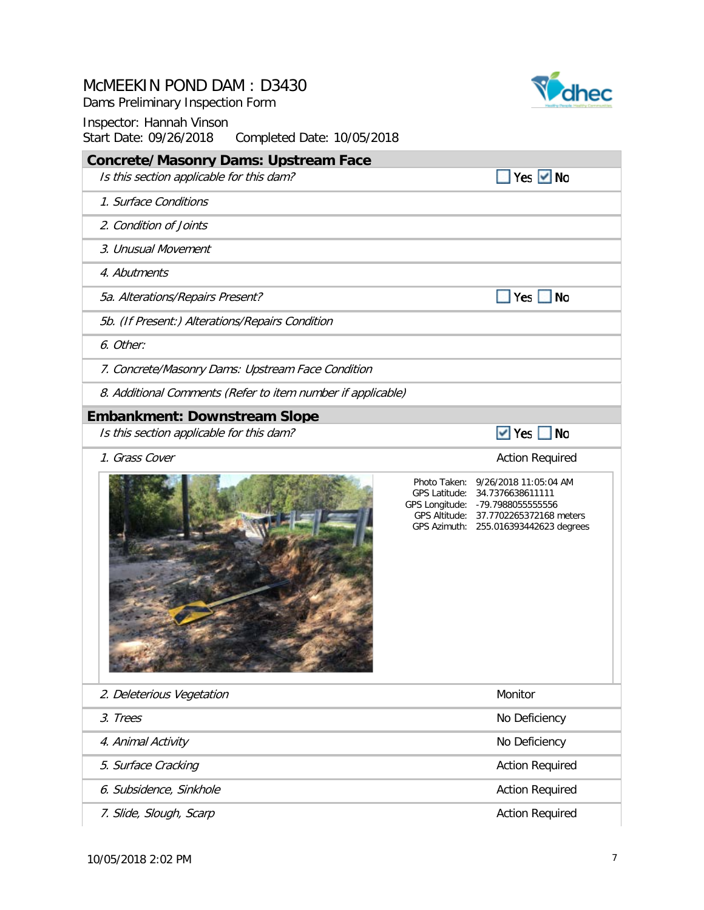Dams Preliminary Inspection Form



| <b>Concrete/Masonry Dams: Upstream Face</b>                 |                                                                                                                                                                                             |
|-------------------------------------------------------------|---------------------------------------------------------------------------------------------------------------------------------------------------------------------------------------------|
| Is this section applicable for this dam?                    | Yes $\vee$ No                                                                                                                                                                               |
| 1. Surface Conditions                                       |                                                                                                                                                                                             |
| 2. Condition of Joints                                      |                                                                                                                                                                                             |
| 3. Unusual Movement                                         |                                                                                                                                                                                             |
| 4. Abutments                                                |                                                                                                                                                                                             |
| 5a. Alterations/Repairs Present?                            | $\blacksquare$ No<br>$ $ Yes $ $                                                                                                                                                            |
| 5b. (If Present:) Alterations/Repairs Condition             |                                                                                                                                                                                             |
| 6. Other:                                                   |                                                                                                                                                                                             |
| 7. Concrete/Masonry Dams: Upstream Face Condition           |                                                                                                                                                                                             |
| 8. Additional Comments (Refer to item number if applicable) |                                                                                                                                                                                             |
| <b>Embankment: Downstream Slope</b>                         |                                                                                                                                                                                             |
| Is this section applicable for this dam?                    | $\triangledown$ Yes $\blacksquare$ No                                                                                                                                                       |
| 1. Grass Cover                                              | <b>Action Required</b>                                                                                                                                                                      |
|                                                             | Photo Taken: 9/26/2018 11:05:04 AM<br>GPS Latitude: 34.7376638611111<br>GPS Longitude: - 79.7988055555556<br>GPS Altitude: 37.7702265372168 meters<br>GPS Azimuth: 255.016393442623 degrees |
| 2. Deleterious Vegetation                                   | Monitor                                                                                                                                                                                     |
| 3. Trees                                                    | No Deficiency                                                                                                                                                                               |
| 4. Animal Activity                                          | No Deficiency                                                                                                                                                                               |
| 5. Surface Cracking                                         | <b>Action Required</b>                                                                                                                                                                      |
| 6. Subsidence, Sinkhole                                     | <b>Action Required</b>                                                                                                                                                                      |
| 7. Slide, Slough, Scarp                                     | <b>Action Required</b>                                                                                                                                                                      |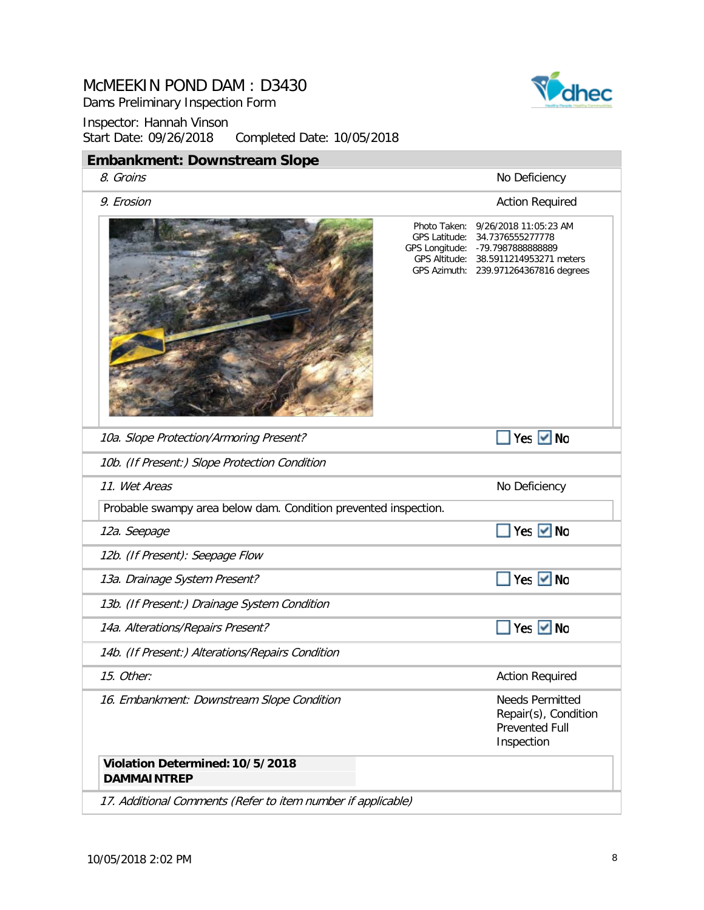Dams Preliminary Inspection Form



| <b>Embankment: Downstream Slope</b>                             |                                                                                                                                                                                             |
|-----------------------------------------------------------------|---------------------------------------------------------------------------------------------------------------------------------------------------------------------------------------------|
| 8. Groins                                                       | No Deficiency                                                                                                                                                                               |
| 9. Erosion                                                      | <b>Action Required</b>                                                                                                                                                                      |
|                                                                 | Photo Taken: 9/26/2018 11:05:23 AM<br>GPS Latitude: 34.7376555277778<br>GPS Longitude: - 79.7987888888889<br>GPS Altitude: 38.5911214953271 meters<br>GPS Azimuth: 239.971264367816 degrees |
| 10a. Slope Protection/Armoring Present?                         | Yes Ø No                                                                                                                                                                                    |
| 10b. (If Present:) Slope Protection Condition                   |                                                                                                                                                                                             |
| 11. Wet Areas                                                   | No Deficiency                                                                                                                                                                               |
| Probable swampy area below dam. Condition prevented inspection. |                                                                                                                                                                                             |
| 12a. Seepage                                                    | Yes <u>V</u> No                                                                                                                                                                             |
| 12b. (If Present): Seepage Flow                                 |                                                                                                                                                                                             |
| 13a. Drainage System Present?                                   | Yes ØNo                                                                                                                                                                                     |
| 13b. (If Present:) Drainage System Condition                    |                                                                                                                                                                                             |
| 14a. Alterations/Repairs Present?                               | Yes $\vee$ No                                                                                                                                                                               |
| 14b. (If Present:) Alterations/Repairs Condition                |                                                                                                                                                                                             |
| 15. Other:                                                      | <b>Action Required</b>                                                                                                                                                                      |
| 16. Embankment: Downstream Slope Condition                      | <b>Needs Permitted</b><br>Repair(s), Condition<br><b>Prevented Full</b><br>Inspection                                                                                                       |
| Violation Determined: 10/5/2018<br><b>DAMMAINTREP</b>           |                                                                                                                                                                                             |
| 17. Additional Comments (Refer to item number if applicable)    |                                                                                                                                                                                             |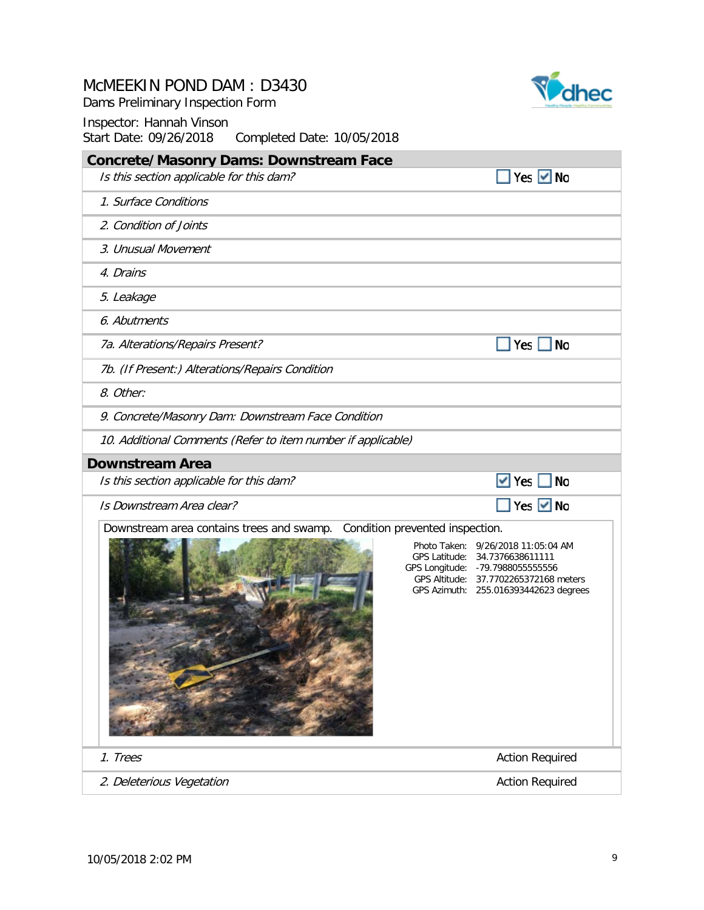Dams Preliminary Inspection Form



| <b>Concrete/Masonry Dams: Downstream Face</b>                             |                                                                                                                                                                                             |
|---------------------------------------------------------------------------|---------------------------------------------------------------------------------------------------------------------------------------------------------------------------------------------|
| Is this section applicable for this dam?                                  | Yes $\vee$ No                                                                                                                                                                               |
| 1. Surface Conditions                                                     |                                                                                                                                                                                             |
| 2. Condition of Joints                                                    |                                                                                                                                                                                             |
| 3. Unusual Movement                                                       |                                                                                                                                                                                             |
| 4. Drains                                                                 |                                                                                                                                                                                             |
| 5. Leakage                                                                |                                                                                                                                                                                             |
| 6. Abutments                                                              |                                                                                                                                                                                             |
| 7a. Alterations/Repairs Present?                                          | $Yes \tN$                                                                                                                                                                                   |
| 7b. (If Present:) Alterations/Repairs Condition                           |                                                                                                                                                                                             |
| 8. Other:                                                                 |                                                                                                                                                                                             |
| 9. Concrete/Masonry Dam: Downstream Face Condition                        |                                                                                                                                                                                             |
| 10. Additional Comments (Refer to item number if applicable)              |                                                                                                                                                                                             |
| <b>Downstream Area</b>                                                    |                                                                                                                                                                                             |
| Is this section applicable for this dam?                                  | $\vee$ Yes $\Box$ No                                                                                                                                                                        |
| Is Downstream Area clear?                                                 | ■ Yes Ø No                                                                                                                                                                                  |
| Downstream area contains trees and swamp. Condition prevented inspection. | Photo Taken: 9/26/2018 11:05:04 AM<br>GPS Latitude: 34.7376638611111<br>GPS Longitude: - 79.7988055555556<br>GPS Altitude: 37.7702265372168 meters<br>GPS Azimuth: 255.016393442623 degrees |
|                                                                           |                                                                                                                                                                                             |
| 1. Trees                                                                  | <b>Action Required</b>                                                                                                                                                                      |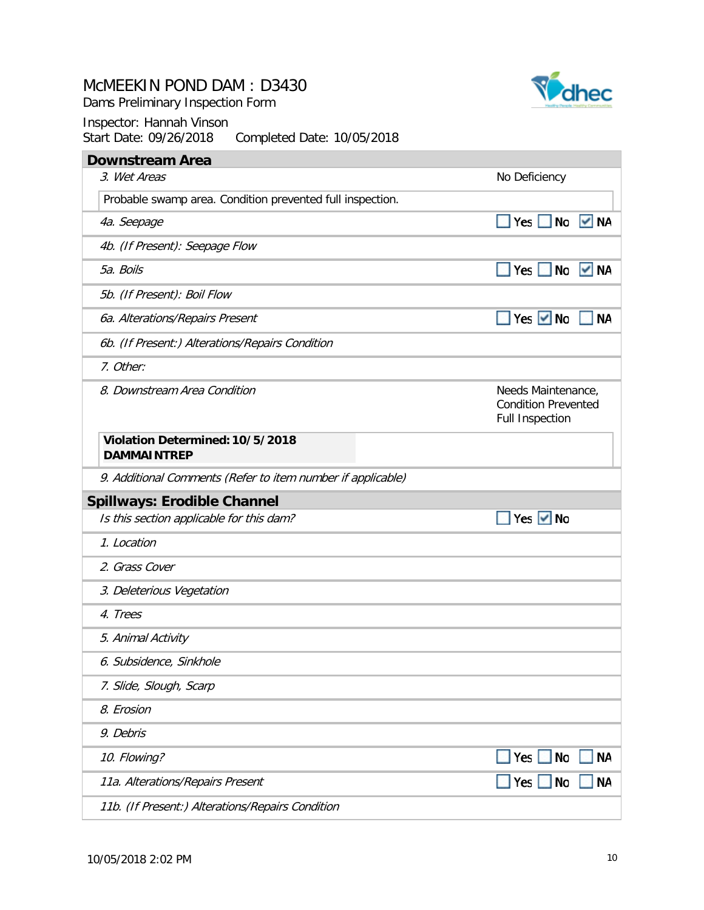Dams Preliminary Inspection Form



| <b>Downstream Area</b>                                      |                                                                            |
|-------------------------------------------------------------|----------------------------------------------------------------------------|
| 3. Wet Areas                                                | No Deficiency                                                              |
| Probable swamp area. Condition prevented full inspection.   |                                                                            |
| 4a. Seepage                                                 | $Yes \tN$<br>V NA                                                          |
| 4b. (If Present): Seepage Flow                              |                                                                            |
| 5a. Boils                                                   | Yes $\Box$<br>No<br>$\sqrt{M}$                                             |
| 5b. (If Present): Boil Flow                                 |                                                                            |
| 6a. Alterations/Repairs Present                             | Yes $\vee$ No<br><b>NA</b>                                                 |
| 6b. (If Present:) Alterations/Repairs Condition             |                                                                            |
| 7. Other:                                                   |                                                                            |
| 8. Downstream Area Condition                                | Needs Maintenance,<br><b>Condition Prevented</b><br><b>Full Inspection</b> |
| Violation Determined: 10/5/2018<br><b>DAMMAINTREP</b>       |                                                                            |
|                                                             |                                                                            |
| 9. Additional Comments (Refer to item number if applicable) |                                                                            |
| <b>Spillways: Erodible Channel</b>                          |                                                                            |
| Is this section applicable for this dam?                    | Yes $\vee$ No                                                              |
| 1. Location                                                 |                                                                            |
| 2. Grass Cover                                              |                                                                            |
| 3. Deleterious Vegetation                                   |                                                                            |
| 4. Trees                                                    |                                                                            |
| 5. Animal Activity                                          |                                                                            |
| 6. Subsidence, Sinkhole                                     |                                                                            |
| 7. Slide, Slough, Scarp                                     |                                                                            |
| 8. Erosion                                                  |                                                                            |
| 9. Debris                                                   |                                                                            |
| 10. Flowing?                                                | Yes $\sqrt{ }$<br><b>NA</b><br><b>No</b>                                   |
| 11a. Alterations/Repairs Present                            | <b>NA</b><br>Yes<br>No                                                     |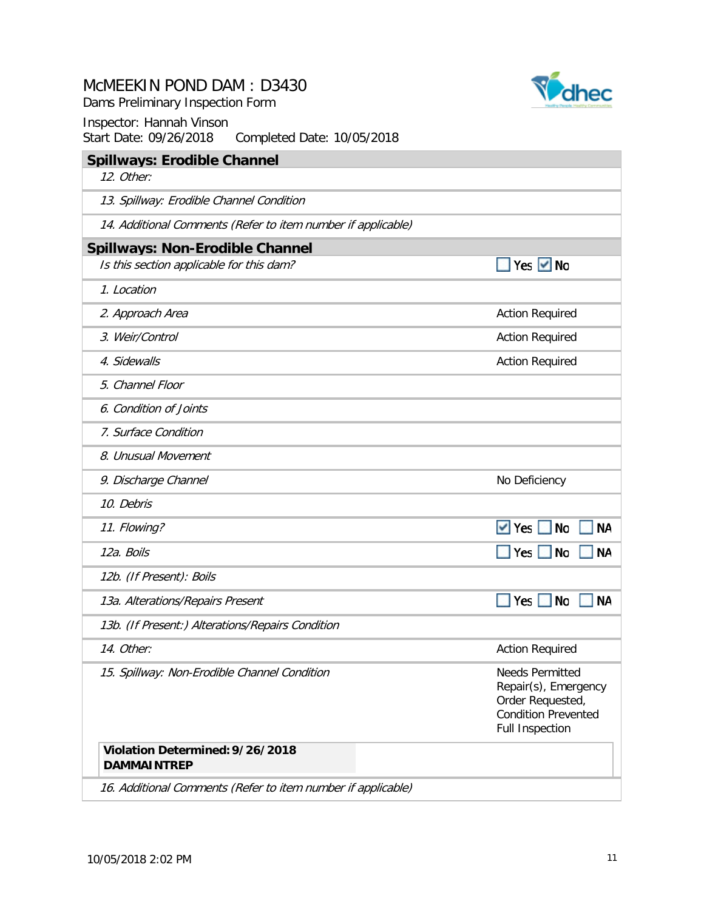Dams Preliminary Inspection Form



| <b>Spillways: Erodible Channel</b><br>12. Other:             |                                                                                                                            |
|--------------------------------------------------------------|----------------------------------------------------------------------------------------------------------------------------|
|                                                              |                                                                                                                            |
| 13. Spillway: Erodible Channel Condition                     |                                                                                                                            |
| 14. Additional Comments (Refer to item number if applicable) |                                                                                                                            |
| <b>Spillways: Non-Erodible Channel</b>                       |                                                                                                                            |
| Is this section applicable for this dam?                     | Yes $\vee$ No                                                                                                              |
| 1. Location                                                  |                                                                                                                            |
| 2. Approach Area                                             | <b>Action Required</b>                                                                                                     |
| 3. Weir/Control                                              | <b>Action Required</b>                                                                                                     |
| 4. Sidewalls                                                 | <b>Action Required</b>                                                                                                     |
| 5. Channel Floor                                             |                                                                                                                            |
| 6. Condition of Joints                                       |                                                                                                                            |
| 7. Surface Condition                                         |                                                                                                                            |
| 8. Unusual Movement                                          |                                                                                                                            |
| 9. Discharge Channel                                         | No Deficiency                                                                                                              |
| 10. Debris                                                   |                                                                                                                            |
| 11. Flowing?                                                 | $\vee$ Yes<br><b>No</b>                                                                                                    |
| 12a. Boils                                                   | Yes $\Box$<br><b>No</b>                                                                                                    |
| 12b. (If Present): Boils                                     |                                                                                                                            |
| 13a. Alterations/Repairs Present                             | No<br>Yes $\Box$                                                                                                           |
| 13b. (If Present:) Alterations/Repairs Condition             |                                                                                                                            |
| 14. Other:                                                   | <b>Action Required</b>                                                                                                     |
| 15. Spillway: Non-Erodible Channel Condition                 | <b>Needs Permitted</b><br>Repair(s), Emergency<br>Order Requested,<br><b>Condition Prevented</b><br><b>Full Inspection</b> |
| Violation Determined: 9/26/2018<br><b>DAMMAINTREP</b>        |                                                                                                                            |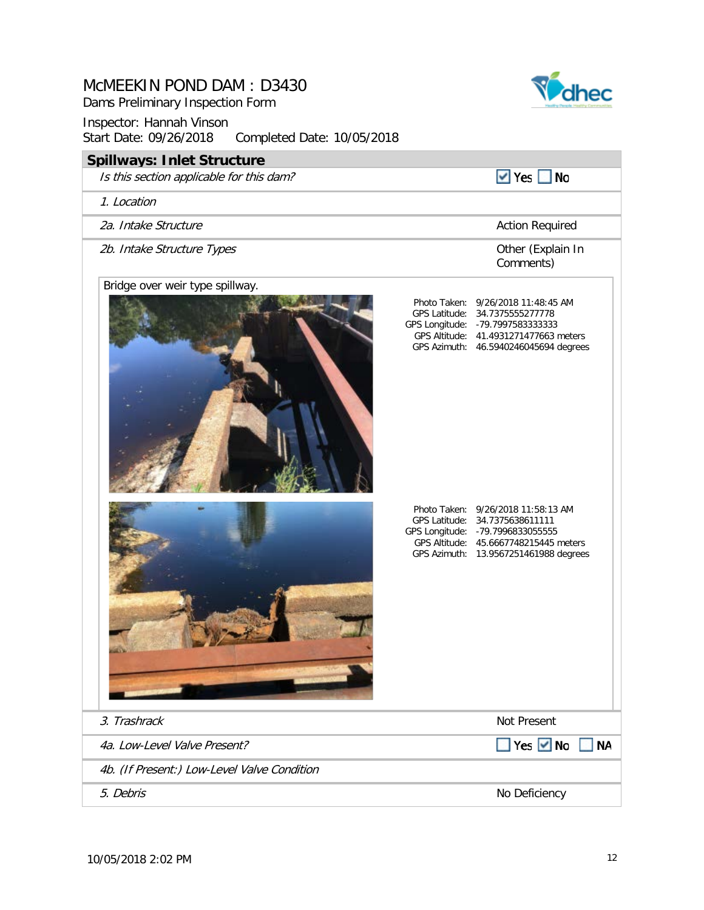# Inspector: Hannah Vinson Start Date: 09/26/2018 Completed Date: 10/05/2018 **Spillways: Inlet Structure** Is this section applicable for this dam?  $\vee$  Yes  $\Box$  No 1. Location 2a. Intake Structure **Action Required** 2b. Intake Structure Types Other (Explain In Comments) Bridge over weir type spillway. Photo Taken: 9/26/2018 11:48:45 AM GPS Latitude: 34.7375555277778 GPS Longitude: -79.7997583333333 GPS Altitude: 41.4931271477663 meters GPS Azimuth: 46.5940246045694 degrees Photo Taken: 9/26/2018 11:58:13 AM GPS Latitude: 34.7375638611111 GPS Longitude: -79.7996833055555 GPS Altitude: 45.6667748215445 meters GPS Azimuth: 13.9567251461988 degrees 3. Trashrack Not Present 4a. Low-Level Valve Present? Yes Mo NA 4b. (If Present:) Low-Level Valve Condition

5. Debris No Deficiency No Deficiency No Deficiency No Deficiency No Deficiency No Deficiency





## McMEEKIN POND DAM : D3430

Dams Preliminary Inspection Form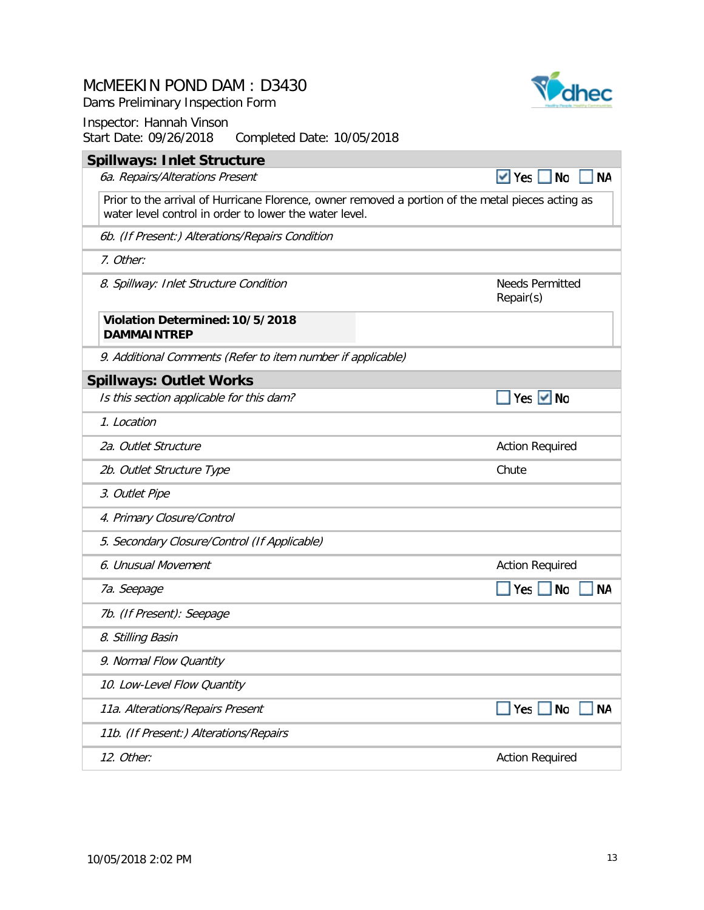Dams Preliminary Inspection Form

Inspector: Hannah Vinson<br>Start Date: 09/26/2018 Completed Date: 10/05/2018 **Spillways: Inlet Structure**

۰

| Spillways: Iniet Structure                                                                                                                                  |                                       |
|-------------------------------------------------------------------------------------------------------------------------------------------------------------|---------------------------------------|
| 6a. Repairs/Alterations Present                                                                                                                             | $\vee$ Yes<br><b>No</b><br><b>NA</b>  |
| Prior to the arrival of Hurricane Florence, owner removed a portion of the metal pieces acting as<br>water level control in order to lower the water level. |                                       |
| 6b. (If Present:) Alterations/Repairs Condition                                                                                                             |                                       |
| 7. Other:                                                                                                                                                   |                                       |
| 8. Spillway: Inlet Structure Condition                                                                                                                      | <b>Needs Permitted</b><br>Repair(s)   |
| Violation Determined: 10/5/2018<br><b>DAMMAINTREP</b>                                                                                                       |                                       |
| 9. Additional Comments (Refer to item number if applicable)                                                                                                 |                                       |
| <b>Spillways: Outlet Works</b>                                                                                                                              |                                       |
| Is this section applicable for this dam?                                                                                                                    | Yes $\vee$ No                         |
| 1. Location                                                                                                                                                 |                                       |
| 2a. Outlet Structure                                                                                                                                        | <b>Action Required</b>                |
| 2b. Outlet Structure Type                                                                                                                                   | Chute                                 |
| 3. Outlet Pipe                                                                                                                                              |                                       |
| 4. Primary Closure/Control                                                                                                                                  |                                       |
| 5. Secondary Closure/Control (If Applicable)                                                                                                                |                                       |
| 6. Unusual Movement                                                                                                                                         | <b>Action Required</b>                |
| 7a. Seepage                                                                                                                                                 | <b>No</b><br>Yes $\vert$<br><b>NA</b> |
| 7b. (If Present): Seepage                                                                                                                                   |                                       |
| 8. Stilling Basin                                                                                                                                           |                                       |
| 9. Normal Flow Quantity                                                                                                                                     |                                       |
| 10. Low-Level Flow Quantity                                                                                                                                 |                                       |
| 11a. Alterations/Repairs Present                                                                                                                            | <b>NA</b><br>$Yes \tN$                |
| 11b. (If Present:) Alterations/Repairs                                                                                                                      |                                       |
| 12. Other:                                                                                                                                                  | <b>Action Required</b>                |

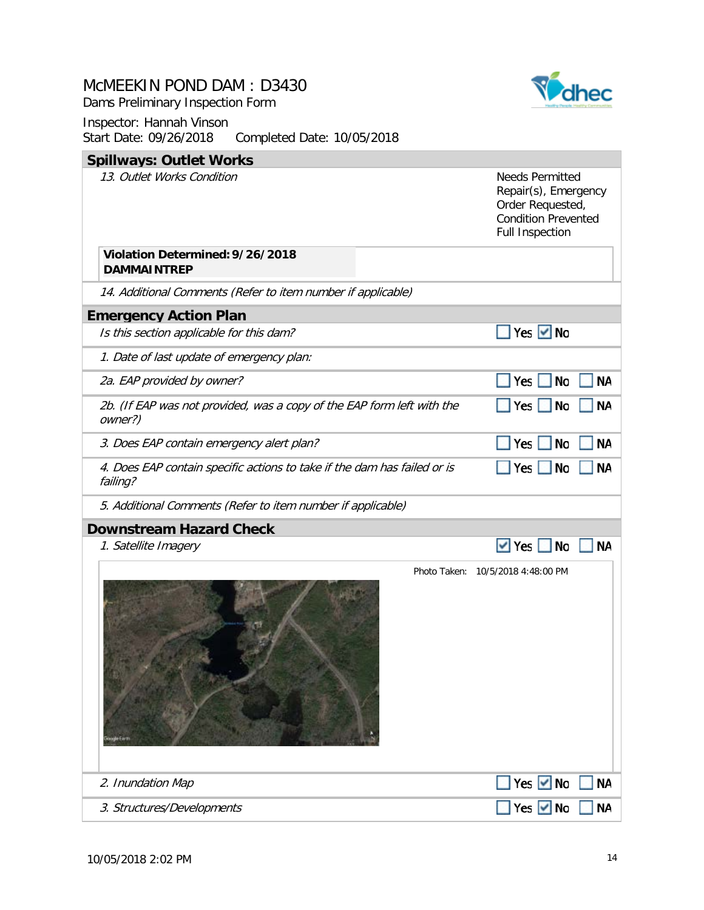Dams Preliminary Inspection Form



| $\frac{1}{2}$<br>$\frac{1}{2}$                                                       |                                                                                                                            |           |
|--------------------------------------------------------------------------------------|----------------------------------------------------------------------------------------------------------------------------|-----------|
| <b>Spillways: Outlet Works</b>                                                       |                                                                                                                            |           |
| 13. Outlet Works Condition<br>Violation Determined: 9/26/2018                        | <b>Needs Permitted</b><br>Repair(s), Emergency<br>Order Requested,<br><b>Condition Prevented</b><br><b>Full Inspection</b> |           |
| <b>DAMMAINTREP</b>                                                                   |                                                                                                                            |           |
| 14. Additional Comments (Refer to item number if applicable)                         |                                                                                                                            |           |
| <b>Emergency Action Plan</b>                                                         |                                                                                                                            |           |
| Is this section applicable for this dam?                                             | $Yes$ $V$ No                                                                                                               |           |
| 1. Date of last update of emergency plan:                                            |                                                                                                                            |           |
| 2a. EAP provided by owner?                                                           | No<br>Yes                                                                                                                  | <b>NA</b> |
| 2b. (If EAP was not provided, was a copy of the EAP form left with the<br>owner?)    | Yes<br><b>No</b>                                                                                                           | <b>NA</b> |
| 3. Does EAP contain emergency alert plan?                                            | Yes $ $<br><b>No</b>                                                                                                       | <b>NA</b> |
| 4. Does EAP contain specific actions to take if the dam has failed or is<br>failing? | Yes<br><b>No</b>                                                                                                           | ΝA        |
| 5. Additional Comments (Refer to item number if applicable)                          |                                                                                                                            |           |
| <b>Downstream Hazard Check</b>                                                       |                                                                                                                            |           |
| 1. Satellite Imagery                                                                 | <b>No</b><br>$\vee$ Yes                                                                                                    | ΝA        |
|                                                                                      | Photo Taken: 10/5/2018 4:48:00 PM                                                                                          |           |
| 2. Inundation Map                                                                    | Yes $\vee$ No                                                                                                              | <b>NA</b> |
| 3. Structures/Developments                                                           | Yes V No                                                                                                                   | <b>NA</b> |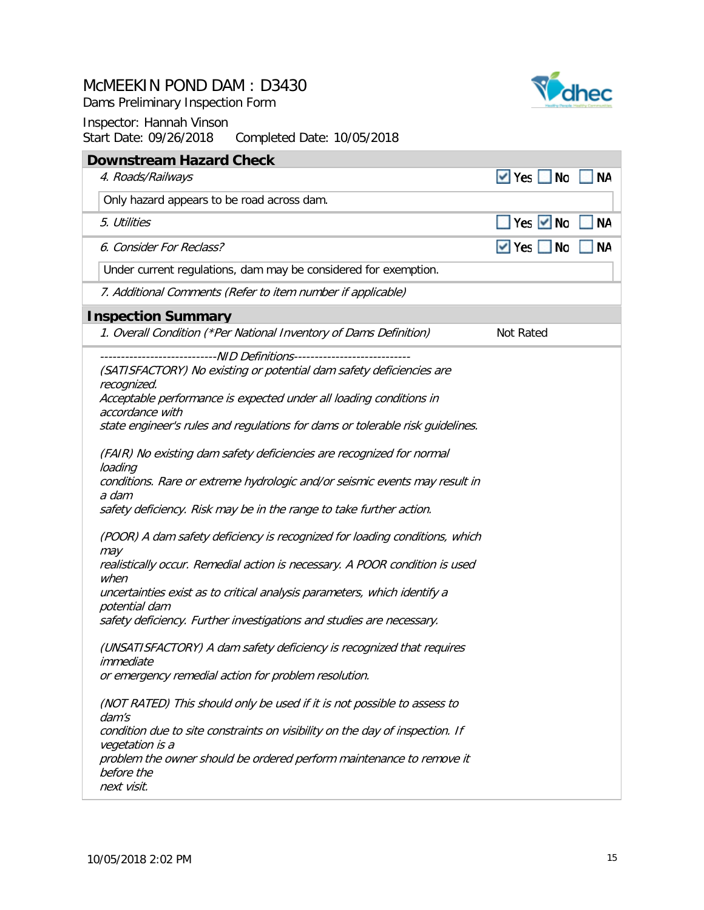Dams Preliminary Inspection Form



| $\vee$ Yes<br>4. Roads/Railways<br>Only hazard appears to be road across dam.<br>5. Utilities<br>6. Consider For Reclass?<br>Under current regulations, dam may be considered for exemption.<br>7. Additional Comments (Refer to item number if applicable)<br><b>Inspection Summary</b><br>1. Overall Condition (*Per National Inventory of Dams Definition)                                                                                                                                                                                                                                                                                                                                                                                                                                                                                                                                                                                                                                                                                                                                                                                                                                                                                                                            |                      |           |
|------------------------------------------------------------------------------------------------------------------------------------------------------------------------------------------------------------------------------------------------------------------------------------------------------------------------------------------------------------------------------------------------------------------------------------------------------------------------------------------------------------------------------------------------------------------------------------------------------------------------------------------------------------------------------------------------------------------------------------------------------------------------------------------------------------------------------------------------------------------------------------------------------------------------------------------------------------------------------------------------------------------------------------------------------------------------------------------------------------------------------------------------------------------------------------------------------------------------------------------------------------------------------------------|----------------------|-----------|
|                                                                                                                                                                                                                                                                                                                                                                                                                                                                                                                                                                                                                                                                                                                                                                                                                                                                                                                                                                                                                                                                                                                                                                                                                                                                                          | <b>No</b>            | ΝA        |
|                                                                                                                                                                                                                                                                                                                                                                                                                                                                                                                                                                                                                                                                                                                                                                                                                                                                                                                                                                                                                                                                                                                                                                                                                                                                                          |                      |           |
|                                                                                                                                                                                                                                                                                                                                                                                                                                                                                                                                                                                                                                                                                                                                                                                                                                                                                                                                                                                                                                                                                                                                                                                                                                                                                          | Yes $\vee$ No        | <b>NA</b> |
|                                                                                                                                                                                                                                                                                                                                                                                                                                                                                                                                                                                                                                                                                                                                                                                                                                                                                                                                                                                                                                                                                                                                                                                                                                                                                          | $\vee$ Yes $\Box$ No | <b>NA</b> |
|                                                                                                                                                                                                                                                                                                                                                                                                                                                                                                                                                                                                                                                                                                                                                                                                                                                                                                                                                                                                                                                                                                                                                                                                                                                                                          |                      |           |
|                                                                                                                                                                                                                                                                                                                                                                                                                                                                                                                                                                                                                                                                                                                                                                                                                                                                                                                                                                                                                                                                                                                                                                                                                                                                                          |                      |           |
|                                                                                                                                                                                                                                                                                                                                                                                                                                                                                                                                                                                                                                                                                                                                                                                                                                                                                                                                                                                                                                                                                                                                                                                                                                                                                          |                      |           |
|                                                                                                                                                                                                                                                                                                                                                                                                                                                                                                                                                                                                                                                                                                                                                                                                                                                                                                                                                                                                                                                                                                                                                                                                                                                                                          | Not Rated            |           |
| (SATISFACTORY) No existing or potential dam safety deficiencies are<br>recognized.<br>Acceptable performance is expected under all loading conditions in<br>accordance with<br>state engineer's rules and regulations for dams or tolerable risk guidelines.<br>(FAIR) No existing dam safety deficiencies are recognized for normal<br>loading<br>conditions. Rare or extreme hydrologic and/or seismic events may result in<br>a dam<br>safety deficiency. Risk may be in the range to take further action.<br>(POOR) A dam safety deficiency is recognized for loading conditions, which<br>may<br>realistically occur. Remedial action is necessary. A POOR condition is used<br>when<br>uncertainties exist as to critical analysis parameters, which identify a<br>potential dam<br>safety deficiency. Further investigations and studies are necessary.<br>(UNSATISFACTORY) A dam safety deficiency is recognized that requires<br>immediate<br>or emergency remedial action for problem resolution.<br>(NOT RATED) This should only be used if it is not possible to assess to<br>dam's<br>condition due to site constraints on visibility on the day of inspection. If<br>vegetation is a<br>problem the owner should be ordered perform maintenance to remove it<br>before the |                      |           |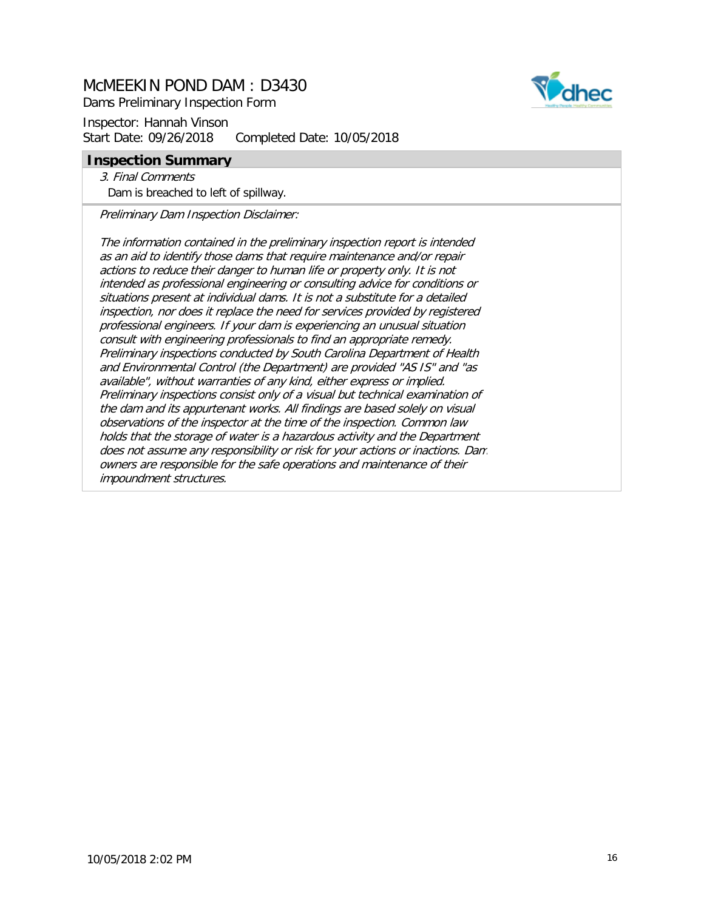Dams Preliminary Inspection Form

Inspector: Hannah Vinson Start Date: 09/26/2018 Completed Date: 10/05/2018

#### **Inspection Summary**

3. Final Comments Dam is breached to left of spillway.

Preliminary Dam Inspection Disclaimer:

The information contained in the preliminary inspection report is intended as an aid to identify those dams that require maintenance and/or repair actions to reduce their danger to human life or property only. It is not intended as professional engineering or consulting advice for conditions or situations present at individual dams. It is not a substitute for a detailed inspection, nor does it replace the need for services provided by registered professional engineers. If your dam is experiencing an unusual situation consult with engineering professionals to find an appropriate remedy. Preliminary inspections conducted by South Carolina Department of Health and Environmental Control (the Department) are provided "AS IS" and "as available", without warranties of any kind, either express or implied. Preliminary inspections consist only of a visual but technical examination of the dam and its appurtenant works. All findings are based solely on visual observations of the inspector at the time of the inspection. Common law holds that the storage of water is a hazardous activity and the Department does not assume any responsibility or risk for your actions or inactions. Dam owners are responsible for the safe operations and maintenance of their impoundment structures.